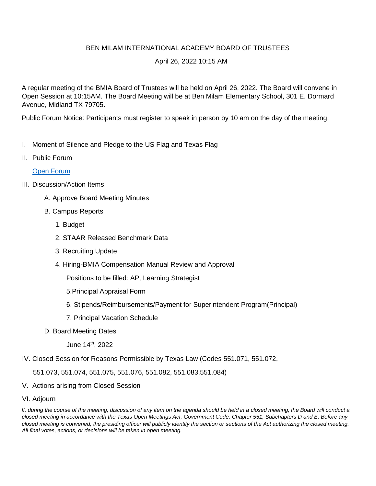## BEN MILAM INTERNATIONAL ACADEMY BOARD OF TRUSTEES

## April 26, 2022 10:15 AM

A regular meeting of the BMIA Board of Trustees will be held on April 26, 2022. The Board will convene in Open Session at 10:15AM. The Board Meeting will be at Ben Milam Elementary School, 301 E. Dormard Avenue, Midland TX 79705.

Public Forum Notice: Participants must register to speak in person by 10 am on the day of the meeting.

- I. Moment of Silence and Pledge to the US Flag and Texas Flag
- II. Public Forum

## [Open Forum](https://docs.google.com/forms/d/1ubVS3zsGrQqktNFSWAhfc_WntarD9V4YMe0YT8uWRS4/edit?usp=sharing)

## III. Discussion/Action Items

- A. Approve Board Meeting Minutes
- B. Campus Reports
	- 1. Budget
	- 2. STAAR Released Benchmark Data
	- 3. Recruiting Update
	- 4. Hiring-BMIA Compensation Manual Review and Approval

Positions to be filled: AP, Learning Strategist

- 5.Principal Appraisal Form
- 6. Stipends/Reimbursements/Payment for Superintendent Program(Principal)
- 7. Principal Vacation Schedule
- D. Board Meeting Dates

June 14th, 2022

IV. Closed Session for Reasons Permissible by Texas Law (Codes 551.071, 551.072,

551.073, 551.074, 551.075, 551.076, 551.082, 551.083,551.084)

- V. Actions arising from Closed Session
- VI. Adjourn

*If, during the course of the meeting, discussion of any item on the agenda should be held in a closed meeting, the Board will conduct a closed meeting in accordance with the Texas Open Meetings Act, Government Code, Chapter 551, Subchapters D and E. Before any closed meeting is convened, the presiding officer will publicly identify the section or sections of the Act authorizing the closed meeting. All final votes, actions, or decisions will be taken in open meeting.*